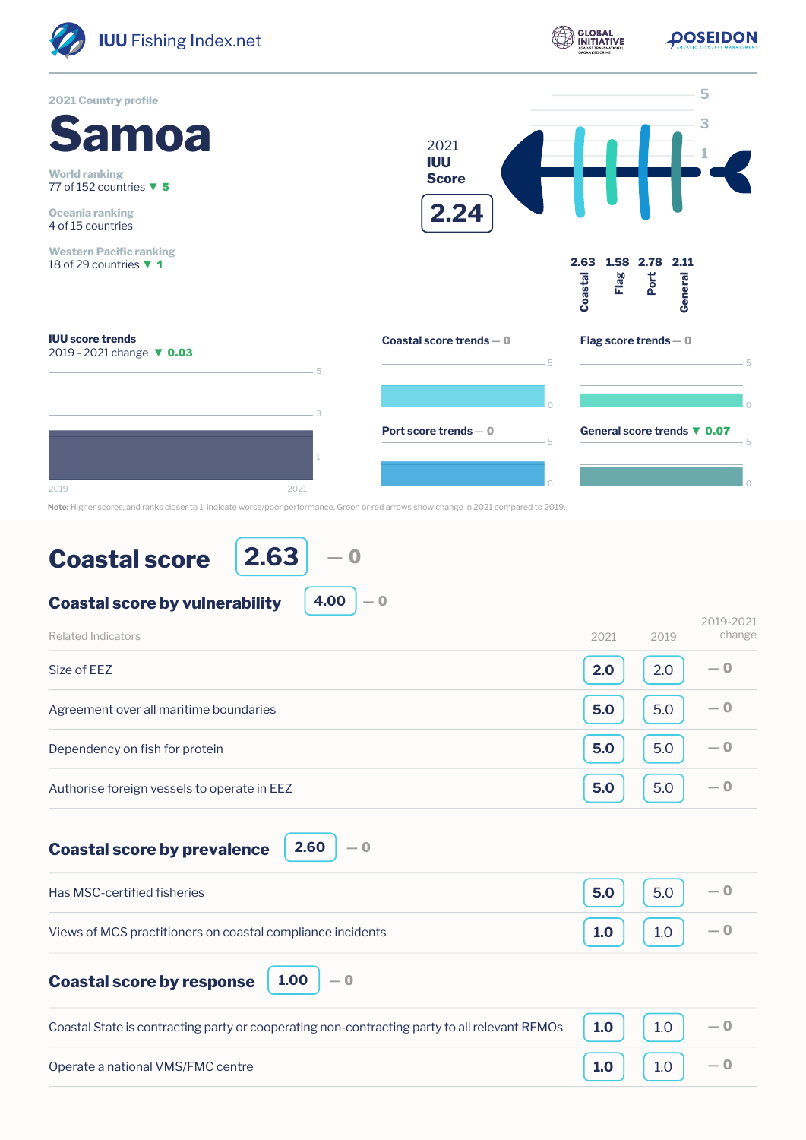

**Coastal score by prevalence**

Has MSC-certified fisheries Views of MCS practitioners on coastal compliance incidents **Coastal score by response 1.00 5.0 1.0** 5.0 1.0  $\overline{0}$ ― 0 ― 0

**2.60**

― 0

| Coastal State is contracting party or cooperating non-contracting party to all relevant RFMOs $\begin{array}{ c c c c c }\n\hline\n\textbf{1.0} & \textbf{1.0} & \textbf{-0}\n\end{array}$ |                                                                              |  |
|--------------------------------------------------------------------------------------------------------------------------------------------------------------------------------------------|------------------------------------------------------------------------------|--|
| Operate a national VMS/FMC centre                                                                                                                                                          | $\begin{bmatrix} 1.0 \end{bmatrix}$ $\begin{bmatrix} 1.0 \end{bmatrix}$ $-0$ |  |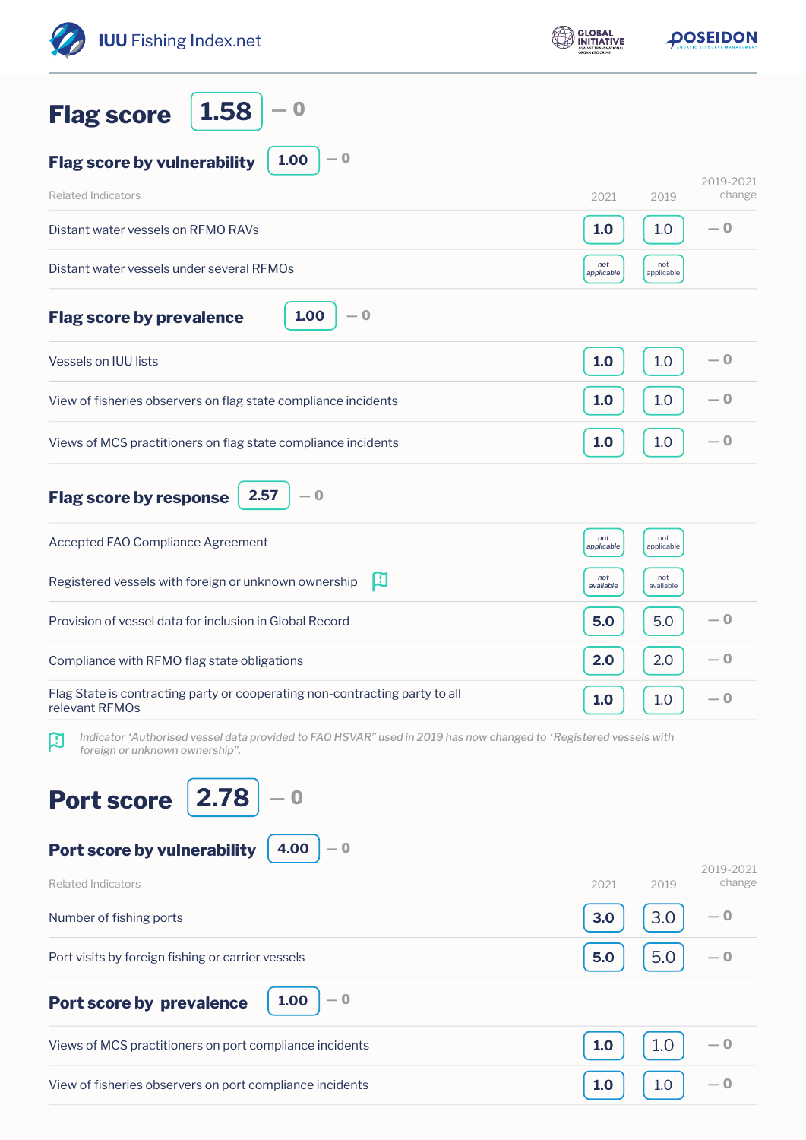| <b>IUU</b> Fishing Index.net                                                                                                                             | <b>GLOBAL</b>     | DOSEIDON                    |
|----------------------------------------------------------------------------------------------------------------------------------------------------------|-------------------|-----------------------------|
| 1.58<br>$\bf{0}$<br><b>Flag score</b>                                                                                                                    |                   |                             |
| $-0$<br>1.00<br><b>Flag score by vulnerability</b>                                                                                                       |                   |                             |
| <b>Related Indicators</b>                                                                                                                                | 2021              | 2019-2021<br>change<br>2019 |
| Distant water vessels on RFMO RAVs                                                                                                                       | 1.0               | — 0<br>1.0                  |
| Distant water vessels under several RFMOs                                                                                                                | not<br>applicable | not<br>applicable           |
| 1.00<br>$-0$<br><b>Flag score by prevalence</b>                                                                                                          |                   |                             |
| Vessels on IUU lists                                                                                                                                     | 1.0               | — 0<br>1.0                  |
| View of fisheries observers on flag state compliance incidents                                                                                           | 1.0               | $-0$<br>1.0                 |
| Views of MCS practitioners on flag state compliance incidents                                                                                            | 1.0               | $-0$<br>1.0                 |
| 2.57<br>$-0$<br><b>Flag score by response</b>                                                                                                            |                   |                             |
| Accepted FAO Compliance Agreement                                                                                                                        | not<br>applicable | not<br>applicable           |
| 口<br>Registered vessels with foreign or unknown ownership                                                                                                | not<br>available  | not<br>available            |
| Provision of vessel data for inclusion in Global Record                                                                                                  | 5.0               | — 0<br>5.0                  |
| Compliance with RFMO flag state obligations                                                                                                              | 2.0               | — 0<br>2.0                  |
| Flag State is contracting party or cooperating non-contracting party to all<br>relevant RFMOs                                                            | 1.0               | — 0<br>1.0                  |
| Indicator 'Authorised vessel data provided to FAO HSVAR" used in 2019 has now changed to 'Registered vessels with<br>口<br>foreign or unknown ownership". |                   |                             |
| $\overline{2.78}$<br><b>Port score</b>                                                                                                                   |                   |                             |
| 4.00<br>Port score by vulnerability<br>$-0$                                                                                                              |                   | 2019-2021                   |
| <b>Related Indicators</b>                                                                                                                                | 2021              | change<br>2019              |
| Number of fishing ports                                                                                                                                  | 3.0               | 3.0<br>— 0                  |
| Port visits by foreign fishing or carrier vessels                                                                                                        | 5.0               | 5.0<br>— 0                  |
| 1.00<br>$-0$<br><b>Port score by prevalence</b>                                                                                                          |                   |                             |
| Views of MCS practitioners on port compliance incidents                                                                                                  | 1.0               | 1.0<br>— 0                  |
| View of fisheries observers on port compliance incidents                                                                                                 | 1.0               | — 0<br>1.0                  |